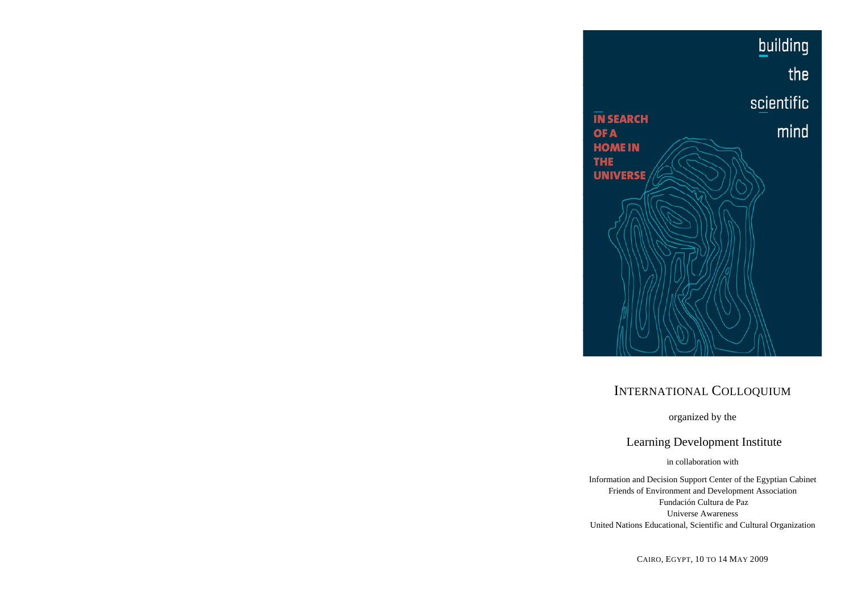

# INTERNATIONAL COLLOQUIUM

organized by the

Learning Development Institute

in collaboration with

Information and Decision Support Center of the Egyptian Cabinet Friends of Environment and Development Association Fundación Cultura de Paz Universe Awareness United Nations Educational, Scientific and Cultural Organization

CAIRO, EGYPT, 10 TO 14 MAY 2009